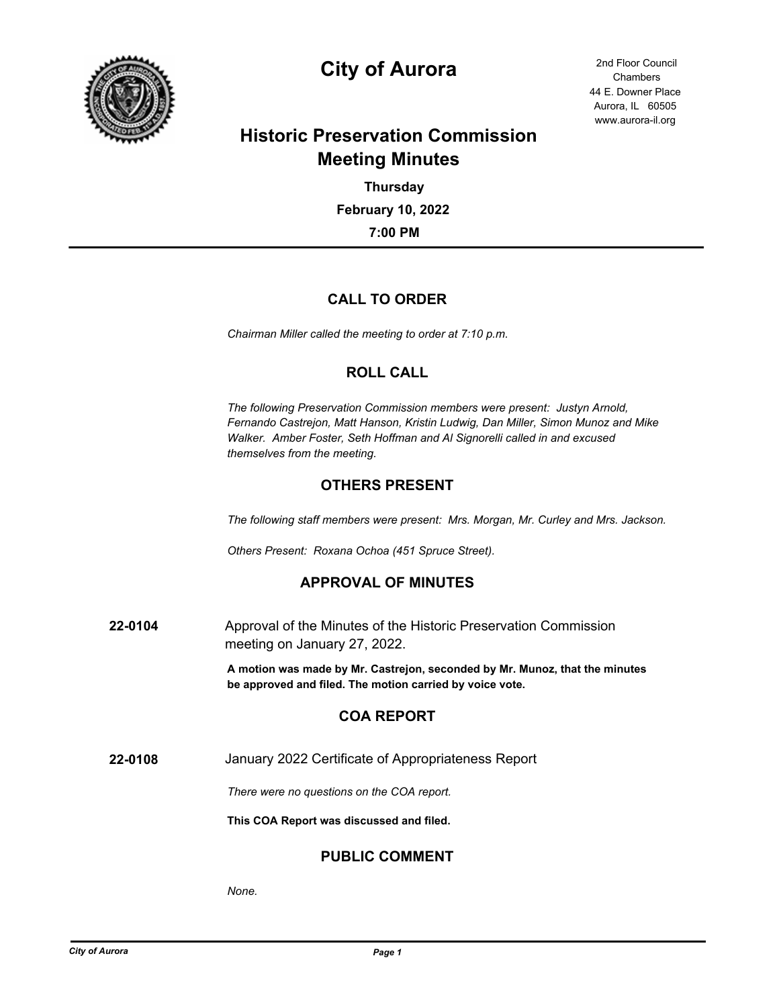

# **City of Aurora** 2nd Floor Council

44 E. Downer Place Aurora, IL 60505 www.aurora-il.org Chambers

## **Historic Preservation Commission Meeting Minutes**

**7:00 PM February 10, 2022 Thursday**

## **CALL TO ORDER**

*Chairman Miller called the meeting to order at 7:10 p.m.*

## **ROLL CALL**

*The following Preservation Commission members were present: Justyn Arnold, Fernando Castrejon, Matt Hanson, Kristin Ludwig, Dan Miller, Simon Munoz and Mike Walker. Amber Foster, Seth Hoffman and Al Signorelli called in and excused themselves from the meeting.*

## **OTHERS PRESENT**

*The following staff members were present: Mrs. Morgan, Mr. Curley and Mrs. Jackson.*

*Others Present: Roxana Ochoa (451 Spruce Street).*

## **APPROVAL OF MINUTES**

**22-0104** Approval of the Minutes of the Historic Preservation Commission meeting on January 27, 2022.

> **A motion was made by Mr. Castrejon, seconded by Mr. Munoz, that the minutes be approved and filed. The motion carried by voice vote.**

## **COA REPORT**

**22-0108** January 2022 Certificate of Appropriateness Report

*There were no questions on the COA report.*

**This COA Report was discussed and filed.**

## **PUBLIC COMMENT**

*None.*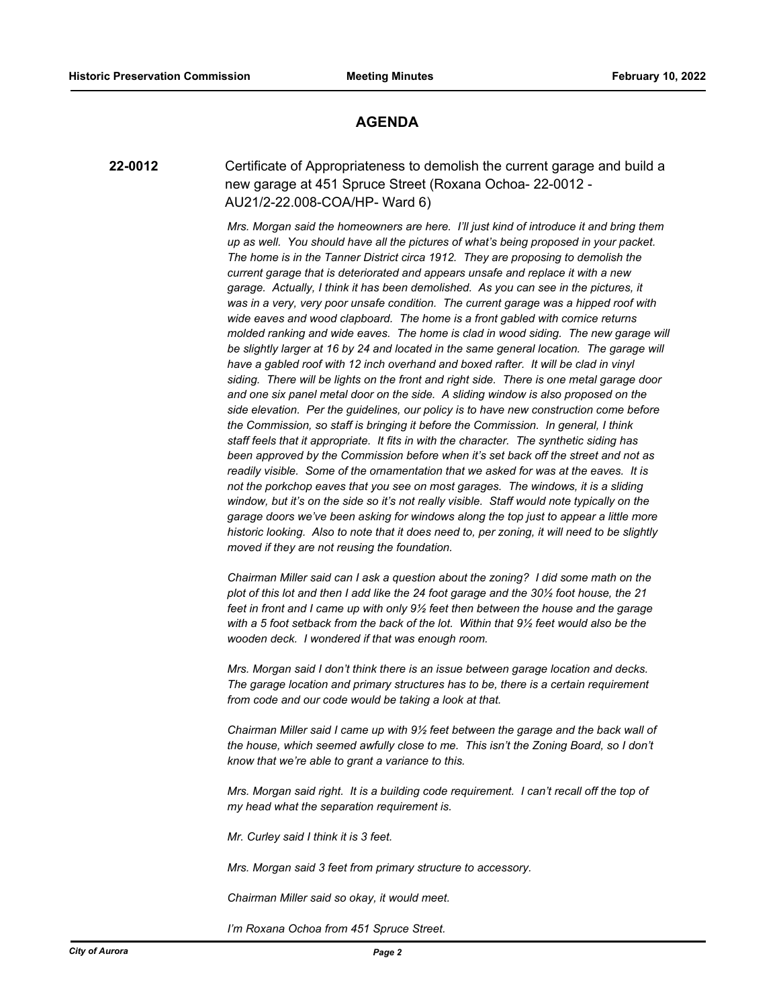#### **AGENDA**

**22-0012** Certificate of Appropriateness to demolish the current garage and build a new garage at 451 Spruce Street (Roxana Ochoa- 22-0012 - AU21/2-22.008-COA/HP- Ward 6)

> *Mrs. Morgan said the homeowners are here. I'll just kind of introduce it and bring them up as well. You should have all the pictures of what's being proposed in your packet. The home is in the Tanner District circa 1912. They are proposing to demolish the current garage that is deteriorated and appears unsafe and replace it with a new garage. Actually, I think it has been demolished. As you can see in the pictures, it was in a very, very poor unsafe condition. The current garage was a hipped roof with wide eaves and wood clapboard. The home is a front gabled with cornice returns molded ranking and wide eaves. The home is clad in wood siding. The new garage will*  be slightly larger at 16 by 24 and located in the same general location. The garage will *have a gabled roof with 12 inch overhand and boxed rafter. It will be clad in vinyl siding. There will be lights on the front and right side. There is one metal garage door and one six panel metal door on the side. A sliding window is also proposed on the side elevation. Per the guidelines, our policy is to have new construction come before the Commission, so staff is bringing it before the Commission. In general, I think staff feels that it appropriate. It fits in with the character. The synthetic siding has been approved by the Commission before when it's set back off the street and not as readily visible. Some of the ornamentation that we asked for was at the eaves. It is not the porkchop eaves that you see on most garages. The windows, it is a sliding window, but it's on the side so it's not really visible. Staff would note typically on the garage doors we've been asking for windows along the top just to appear a little more historic looking. Also to note that it does need to, per zoning, it will need to be slightly moved if they are not reusing the foundation.*

*Chairman Miller said can I ask a question about the zoning? I did some math on the plot of this lot and then I add like the 24 foot garage and the 30½ foot house, the 21 feet in front and I came up with only 9½ feet then between the house and the garage with a 5 foot setback from the back of the lot. Within that 9½ feet would also be the wooden deck. I wondered if that was enough room.*

*Mrs. Morgan said I don't think there is an issue between garage location and decks. The garage location and primary structures has to be, there is a certain requirement from code and our code would be taking a look at that.*

*Chairman Miller said I came up with 9½ feet between the garage and the back wall of the house, which seemed awfully close to me. This isn't the Zoning Board, so I don't know that we're able to grant a variance to this.*

*Mrs. Morgan said right. It is a building code requirement. I can't recall off the top of my head what the separation requirement is.*

*Mr. Curley said I think it is 3 feet.*

*Mrs. Morgan said 3 feet from primary structure to accessory.*

*Chairman Miller said so okay, it would meet.*

*I'm Roxana Ochoa from 451 Spruce Street.*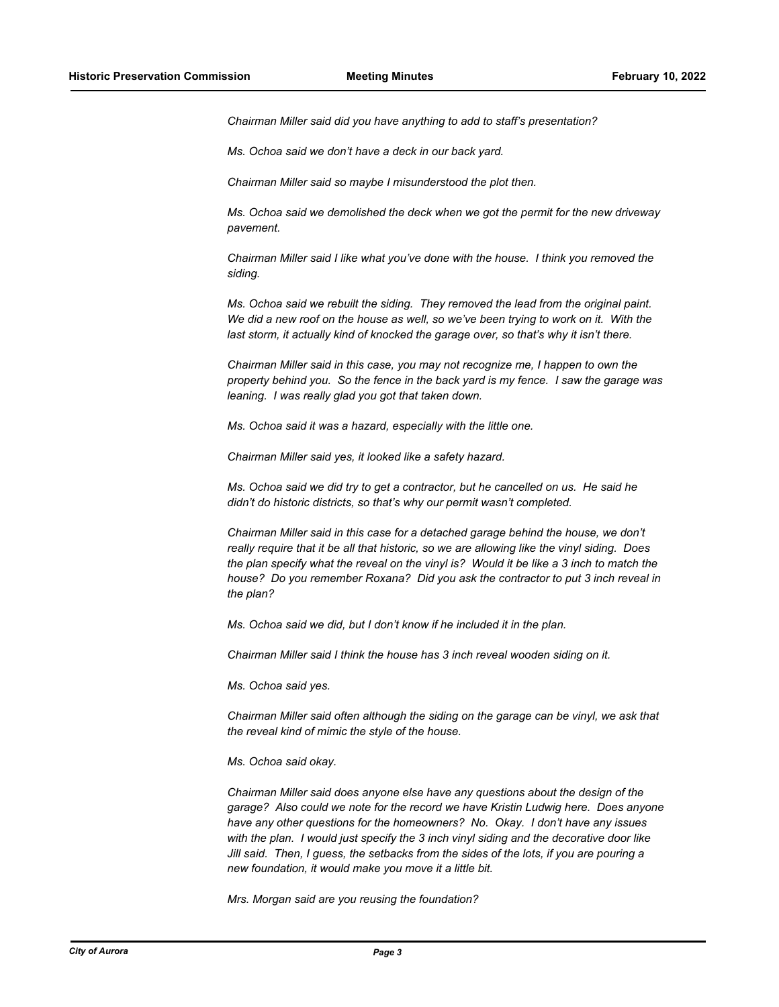*Chairman Miller said did you have anything to add to staff's presentation?*

*Ms. Ochoa said we don't have a deck in our back yard.*

*Chairman Miller said so maybe I misunderstood the plot then.*

*Ms. Ochoa said we demolished the deck when we got the permit for the new driveway pavement.*

*Chairman Miller said I like what you've done with the house. I think you removed the siding.*

*Ms. Ochoa said we rebuilt the siding. They removed the lead from the original paint. We did a new roof on the house as well, so we've been trying to work on it. With the last storm, it actually kind of knocked the garage over, so that's why it isn't there.*

*Chairman Miller said in this case, you may not recognize me, I happen to own the property behind you. So the fence in the back yard is my fence. I saw the garage was leaning. I was really glad you got that taken down.*

*Ms. Ochoa said it was a hazard, especially with the little one.*

*Chairman Miller said yes, it looked like a safety hazard.*

*Ms. Ochoa said we did try to get a contractor, but he cancelled on us. He said he didn't do historic districts, so that's why our permit wasn't completed.*

*Chairman Miller said in this case for a detached garage behind the house, we don't really require that it be all that historic, so we are allowing like the vinyl siding. Does the plan specify what the reveal on the vinyl is? Would it be like a 3 inch to match the house? Do you remember Roxana? Did you ask the contractor to put 3 inch reveal in the plan?*

*Ms. Ochoa said we did, but I don't know if he included it in the plan.*

*Chairman Miller said I think the house has 3 inch reveal wooden siding on it.*

*Ms. Ochoa said yes.*

*Chairman Miller said often although the siding on the garage can be vinyl, we ask that the reveal kind of mimic the style of the house.*

*Ms. Ochoa said okay.*

*Chairman Miller said does anyone else have any questions about the design of the garage? Also could we note for the record we have Kristin Ludwig here. Does anyone have any other questions for the homeowners? No. Okay. I don't have any issues with the plan. I would just specify the 3 inch vinyl siding and the decorative door like Jill said. Then, I guess, the setbacks from the sides of the lots, if you are pouring a new foundation, it would make you move it a little bit.*

*Mrs. Morgan said are you reusing the foundation?*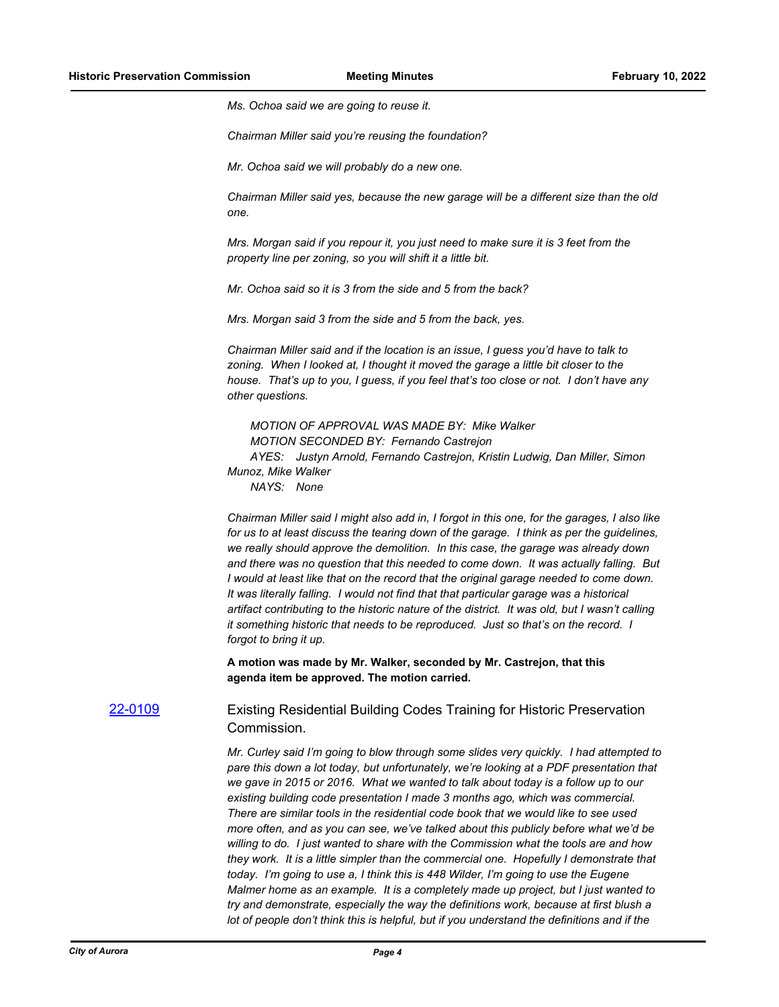*Ms. Ochoa said we are going to reuse it.*

*Chairman Miller said you're reusing the foundation?*

*Mr. Ochoa said we will probably do a new one.*

*Chairman Miller said yes, because the new garage will be a different size than the old one.*

*Mrs. Morgan said if you repour it, you just need to make sure it is 3 feet from the property line per zoning, so you will shift it a little bit.*

*Mr. Ochoa said so it is 3 from the side and 5 from the back?*

*Mrs. Morgan said 3 from the side and 5 from the back, yes.*

*Chairman Miller said and if the location is an issue, I guess you'd have to talk to zoning. When I looked at, I thought it moved the garage a little bit closer to the house. That's up to you, I guess, if you feel that's too close or not. I don't have any other questions.*

*MOTION OF APPROVAL WAS MADE BY: Mike Walker MOTION SECONDED BY: Fernando Castrejon AYES: Justyn Arnold, Fernando Castrejon, Kristin Ludwig, Dan Miller, Simon Munoz, Mike Walker*

*NAYS: None*

*Chairman Miller said I might also add in, I forgot in this one, for the garages, I also like for us to at least discuss the tearing down of the garage. I think as per the guidelines, we really should approve the demolition. In this case, the garage was already down and there was no question that this needed to come down. It was actually falling. But I would at least like that on the record that the original garage needed to come down. It was literally falling. I would not find that that particular garage was a historical artifact contributing to the historic nature of the district. It was old, but I wasn't calling it something historic that needs to be reproduced. Just so that's on the record. I forgot to bring it up.*

**A motion was made by Mr. Walker, seconded by Mr. Castrejon, that this agenda item be approved. The motion carried.**

[22-0109](http://aurora-il.legistar.com/gateway.aspx?m=l&id=/matter.aspx?key=11198) Existing Residential Building Codes Training for Historic Preservation Commission.

> *Mr. Curley said I'm going to blow through some slides very quickly. I had attempted to pare this down a lot today, but unfortunately, we're looking at a PDF presentation that we gave in 2015 or 2016. What we wanted to talk about today is a follow up to our existing building code presentation I made 3 months ago, which was commercial. There are similar tools in the residential code book that we would like to see used more often, and as you can see, we've talked about this publicly before what we'd be willing to do. I just wanted to share with the Commission what the tools are and how they work. It is a little simpler than the commercial one. Hopefully I demonstrate that today. I'm going to use a, I think this is 448 Wilder, I'm going to use the Eugene Malmer home as an example. It is a completely made up project, but I just wanted to try and demonstrate, especially the way the definitions work, because at first blush a lot of people don't think this is helpful, but if you understand the definitions and if the*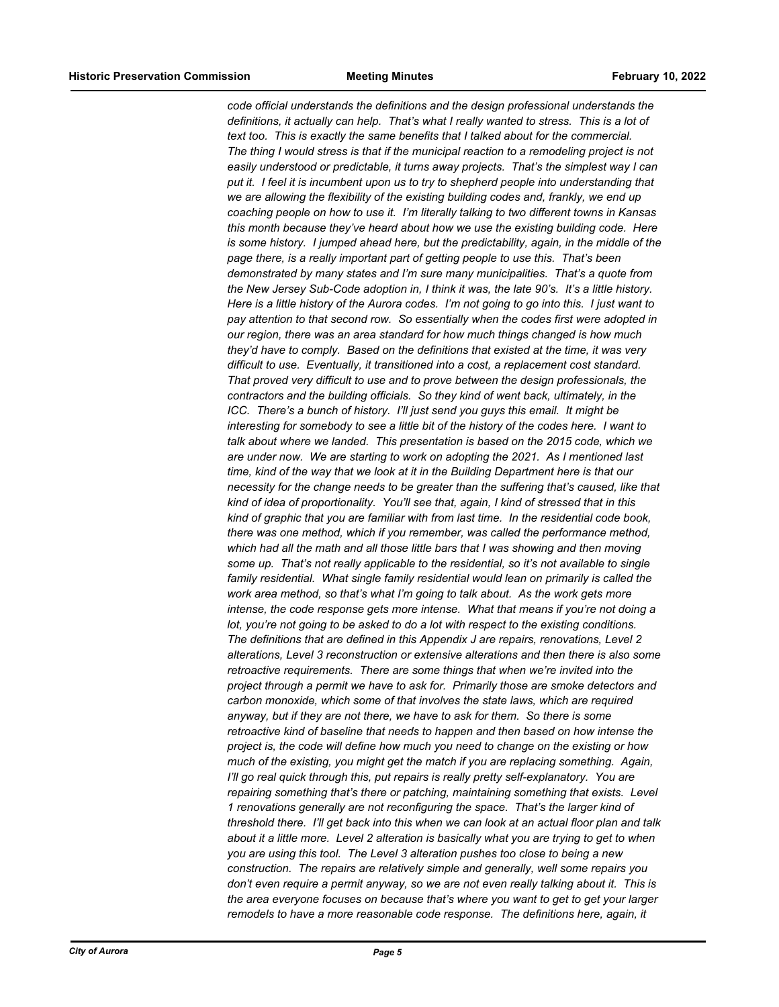*code official understands the definitions and the design professional understands the definitions, it actually can help. That's what I really wanted to stress. This is a lot of text too. This is exactly the same benefits that I talked about for the commercial. The thing I would stress is that if the municipal reaction to a remodeling project is not easily understood or predictable, it turns away projects. That's the simplest way I can put it. I feel it is incumbent upon us to try to shepherd people into understanding that we are allowing the flexibility of the existing building codes and, frankly, we end up coaching people on how to use it. I'm literally talking to two different towns in Kansas this month because they've heard about how we use the existing building code. Here is some history. I jumped ahead here, but the predictability, again, in the middle of the page there, is a really important part of getting people to use this. That's been demonstrated by many states and I'm sure many municipalities. That's a quote from the New Jersey Sub-Code adoption in, I think it was, the late 90's. It's a little history. Here is a little history of the Aurora codes. I'm not going to go into this. I just want to pay attention to that second row. So essentially when the codes first were adopted in our region, there was an area standard for how much things changed is how much they'd have to comply. Based on the definitions that existed at the time, it was very difficult to use. Eventually, it transitioned into a cost, a replacement cost standard. That proved very difficult to use and to prove between the design professionals, the contractors and the building officials. So they kind of went back, ultimately, in the ICC.* There's a bunch of history. I'll just send you guys this email. It might be *interesting for somebody to see a little bit of the history of the codes here. I want to talk about where we landed. This presentation is based on the 2015 code, which we are under now. We are starting to work on adopting the 2021. As I mentioned last time, kind of the way that we look at it in the Building Department here is that our necessity for the change needs to be greater than the suffering that's caused, like that kind of idea of proportionality. You'll see that, again, I kind of stressed that in this kind of graphic that you are familiar with from last time. In the residential code book, there was one method, which if you remember, was called the performance method, which had all the math and all those little bars that I was showing and then moving some up. That's not really applicable to the residential, so it's not available to single family residential. What single family residential would lean on primarily is called the work area method, so that's what I'm going to talk about. As the work gets more intense, the code response gets more intense. What that means if you're not doing a lot, you're not going to be asked to do a lot with respect to the existing conditions. The definitions that are defined in this Appendix J are repairs, renovations, Level 2 alterations, Level 3 reconstruction or extensive alterations and then there is also some retroactive requirements. There are some things that when we're invited into the project through a permit we have to ask for. Primarily those are smoke detectors and carbon monoxide, which some of that involves the state laws, which are required anyway, but if they are not there, we have to ask for them. So there is some retroactive kind of baseline that needs to happen and then based on how intense the project is, the code will define how much you need to change on the existing or how much of the existing, you might get the match if you are replacing something. Again, I'll go real quick through this, put repairs is really pretty self-explanatory. You are repairing something that's there or patching, maintaining something that exists. Level 1 renovations generally are not reconfiguring the space. That's the larger kind of threshold there. I'll get back into this when we can look at an actual floor plan and talk about it a little more. Level 2 alteration is basically what you are trying to get to when you are using this tool. The Level 3 alteration pushes too close to being a new construction. The repairs are relatively simple and generally, well some repairs you don't even require a permit anyway, so we are not even really talking about it. This is the area everyone focuses on because that's where you want to get to get your larger remodels to have a more reasonable code response. The definitions here, again, it*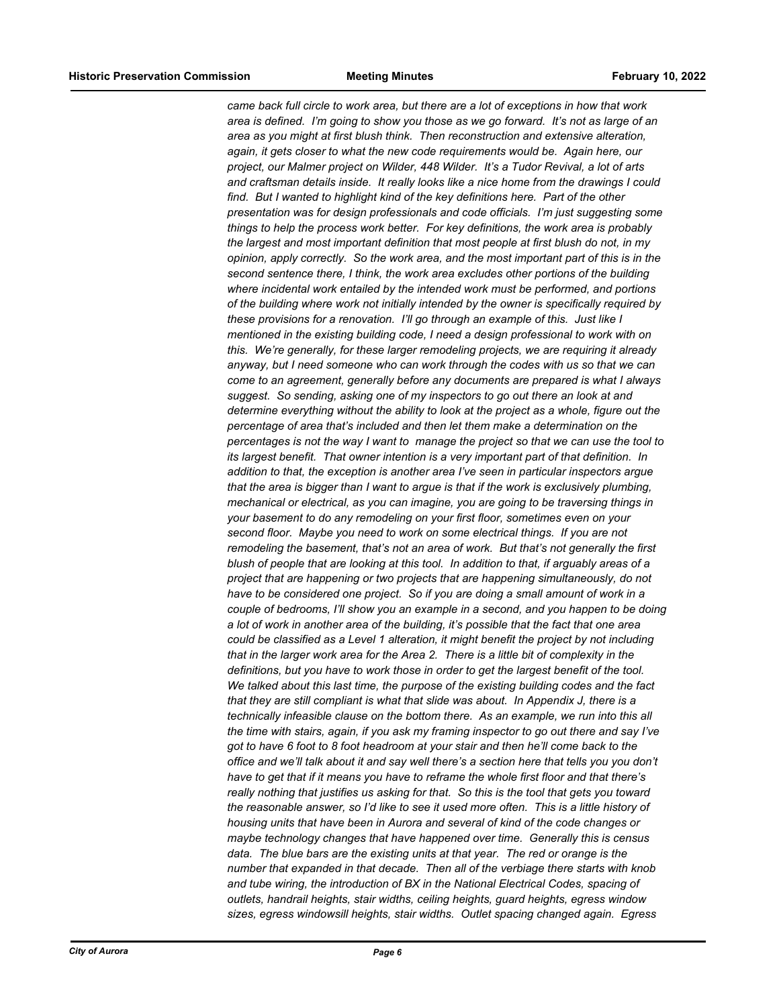*came back full circle to work area, but there are a lot of exceptions in how that work area is defined. I'm going to show you those as we go forward. It's not as large of an area as you might at first blush think. Then reconstruction and extensive alteration, again, it gets closer to what the new code requirements would be. Again here, our project, our Malmer project on Wilder, 448 Wilder. It's a Tudor Revival, a lot of arts and craftsman details inside. It really looks like a nice home from the drawings I could find. But I wanted to highlight kind of the key definitions here. Part of the other presentation was for design professionals and code officials. I'm just suggesting some things to help the process work better. For key definitions, the work area is probably the largest and most important definition that most people at first blush do not, in my opinion, apply correctly. So the work area, and the most important part of this is in the second sentence there, I think, the work area excludes other portions of the building where incidental work entailed by the intended work must be performed, and portions of the building where work not initially intended by the owner is specifically required by these provisions for a renovation. I'll go through an example of this. Just like I mentioned in the existing building code, I need a design professional to work with on this. We're generally, for these larger remodeling projects, we are requiring it already anyway, but I need someone who can work through the codes with us so that we can come to an agreement, generally before any documents are prepared is what I always suggest. So sending, asking one of my inspectors to go out there an look at and determine everything without the ability to look at the project as a whole, figure out the percentage of area that's included and then let them make a determination on the percentages is not the way I want to manage the project so that we can use the tool to its largest benefit. That owner intention is a very important part of that definition. In addition to that, the exception is another area I've seen in particular inspectors argue that the area is bigger than I want to argue is that if the work is exclusively plumbing, mechanical or electrical, as you can imagine, you are going to be traversing things in your basement to do any remodeling on your first floor, sometimes even on your second floor. Maybe you need to work on some electrical things. If you are not remodeling the basement, that's not an area of work. But that's not generally the first blush of people that are looking at this tool. In addition to that, if arguably areas of a project that are happening or two projects that are happening simultaneously, do not have to be considered one project. So if you are doing a small amount of work in a couple of bedrooms, I'll show you an example in a second, and you happen to be doing a lot of work in another area of the building, it's possible that the fact that one area could be classified as a Level 1 alteration, it might benefit the project by not including that in the larger work area for the Area 2. There is a little bit of complexity in the definitions, but you have to work those in order to get the largest benefit of the tool. We talked about this last time, the purpose of the existing building codes and the fact that they are still compliant is what that slide was about. In Appendix J, there is a technically infeasible clause on the bottom there. As an example, we run into this all the time with stairs, again, if you ask my framing inspector to go out there and say I've got to have 6 foot to 8 foot headroom at your stair and then he'll come back to the office and we'll talk about it and say well there's a section here that tells you you don't have to get that if it means you have to reframe the whole first floor and that there's really nothing that justifies us asking for that. So this is the tool that gets you toward the reasonable answer, so I'd like to see it used more often. This is a little history of housing units that have been in Aurora and several of kind of the code changes or maybe technology changes that have happened over time. Generally this is census data. The blue bars are the existing units at that year. The red or orange is the number that expanded in that decade. Then all of the verbiage there starts with knob and tube wiring, the introduction of BX in the National Electrical Codes, spacing of outlets, handrail heights, stair widths, ceiling heights, guard heights, egress window sizes, egress windowsill heights, stair widths. Outlet spacing changed again. Egress*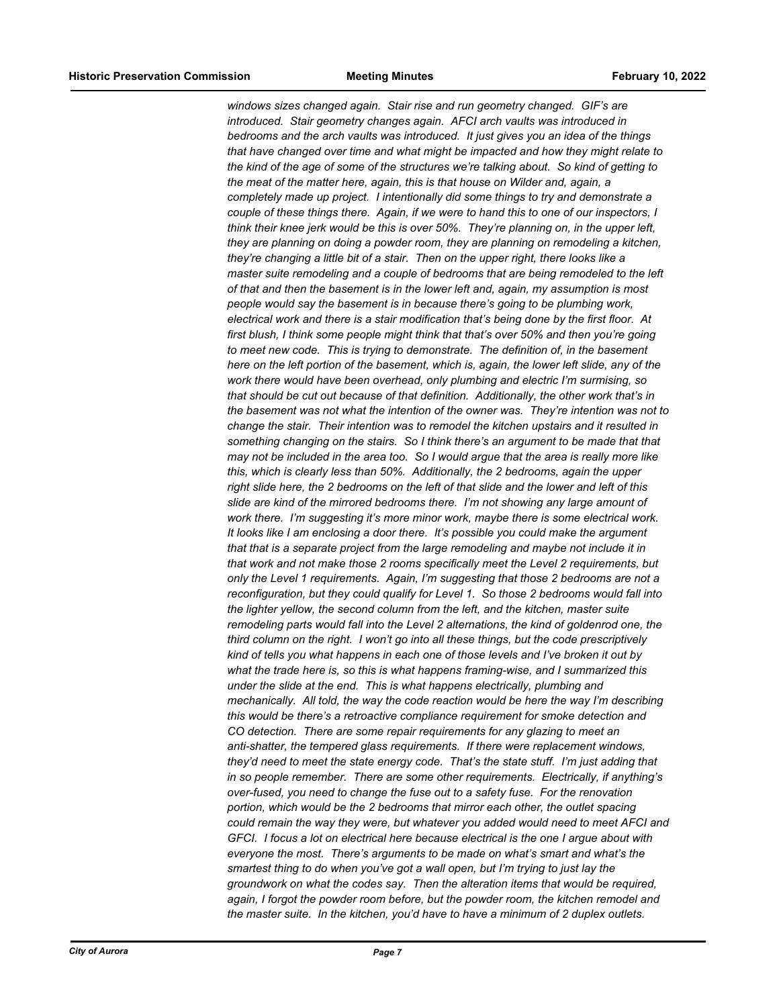*windows sizes changed again. Stair rise and run geometry changed. GIF's are introduced. Stair geometry changes again. AFCI arch vaults was introduced in bedrooms and the arch vaults was introduced. It just gives you an idea of the things that have changed over time and what might be impacted and how they might relate to the kind of the age of some of the structures we're talking about. So kind of getting to the meat of the matter here, again, this is that house on Wilder and, again, a completely made up project. I intentionally did some things to try and demonstrate a couple of these things there. Again, if we were to hand this to one of our inspectors, I think their knee jerk would be this is over 50%. They're planning on, in the upper left, they are planning on doing a powder room, they are planning on remodeling a kitchen, they're changing a little bit of a stair. Then on the upper right, there looks like a master suite remodeling and a couple of bedrooms that are being remodeled to the left of that and then the basement is in the lower left and, again, my assumption is most people would say the basement is in because there's going to be plumbing work, electrical work and there is a stair modification that's being done by the first floor. At first blush, I think some people might think that that's over 50% and then you're going to meet new code. This is trying to demonstrate. The definition of, in the basement here on the left portion of the basement, which is, again, the lower left slide, any of the work there would have been overhead, only plumbing and electric I'm surmising, so that should be cut out because of that definition. Additionally, the other work that's in the basement was not what the intention of the owner was. They're intention was not to change the stair. Their intention was to remodel the kitchen upstairs and it resulted in something changing on the stairs. So I think there's an argument to be made that that may not be included in the area too. So I would argue that the area is really more like this, which is clearly less than 50%. Additionally, the 2 bedrooms, again the upper right slide here, the 2 bedrooms on the left of that slide and the lower and left of this slide are kind of the mirrored bedrooms there. I'm not showing any large amount of work there. I'm suggesting it's more minor work, maybe there is some electrical work. It looks like I am enclosing a door there. It's possible you could make the argument that that is a separate project from the large remodeling and maybe not include it in that work and not make those 2 rooms specifically meet the Level 2 requirements, but only the Level 1 requirements. Again, I'm suggesting that those 2 bedrooms are not a reconfiguration, but they could qualify for Level 1. So those 2 bedrooms would fall into the lighter yellow, the second column from the left, and the kitchen, master suite remodeling parts would fall into the Level 2 alternations, the kind of goldenrod one, the third column on the right. I won't go into all these things, but the code prescriptively kind of tells you what happens in each one of those levels and I've broken it out by what the trade here is, so this is what happens framing-wise, and I summarized this under the slide at the end. This is what happens electrically, plumbing and mechanically. All told, the way the code reaction would be here the way I'm describing this would be there's a retroactive compliance requirement for smoke detection and CO detection. There are some repair requirements for any glazing to meet an anti-shatter, the tempered glass requirements. If there were replacement windows, they'd need to meet the state energy code. That's the state stuff. I'm just adding that in so people remember. There are some other requirements. Electrically, if anything's over-fused, you need to change the fuse out to a safety fuse. For the renovation portion, which would be the 2 bedrooms that mirror each other, the outlet spacing could remain the way they were, but whatever you added would need to meet AFCI and GFCI. I focus a lot on electrical here because electrical is the one I argue about with everyone the most. There's arguments to be made on what's smart and what's the smartest thing to do when you've got a wall open, but I'm trying to just lay the groundwork on what the codes say. Then the alteration items that would be required, again, I forgot the powder room before, but the powder room, the kitchen remodel and the master suite. In the kitchen, you'd have to have a minimum of 2 duplex outlets.*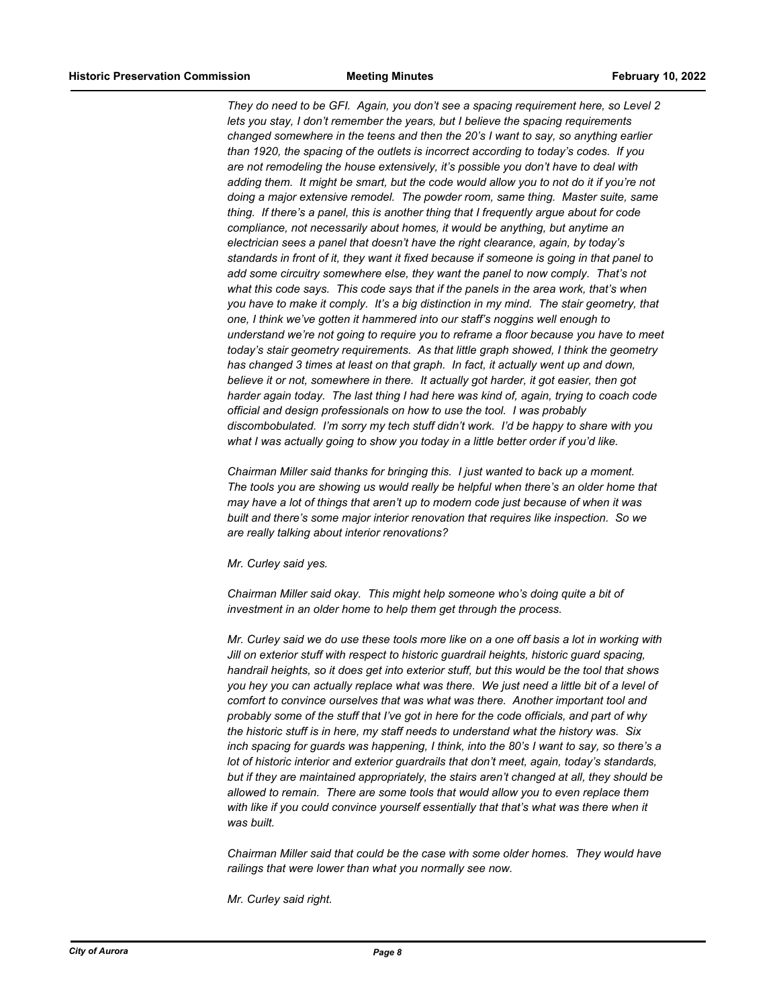*They do need to be GFI. Again, you don't see a spacing requirement here, so Level 2 lets you stay, I don't remember the years, but I believe the spacing requirements changed somewhere in the teens and then the 20's I want to say, so anything earlier than 1920, the spacing of the outlets is incorrect according to today's codes. If you are not remodeling the house extensively, it's possible you don't have to deal with adding them. It might be smart, but the code would allow you to not do it if you're not doing a major extensive remodel. The powder room, same thing. Master suite, same thing. If there's a panel, this is another thing that I frequently argue about for code compliance, not necessarily about homes, it would be anything, but anytime an electrician sees a panel that doesn't have the right clearance, again, by today's standards in front of it, they want it fixed because if someone is going in that panel to add some circuitry somewhere else, they want the panel to now comply. That's not what this code says. This code says that if the panels in the area work, that's when you have to make it comply. It's a big distinction in my mind. The stair geometry, that one, I think we've gotten it hammered into our staff's noggins well enough to understand we're not going to require you to reframe a floor because you have to meet today's stair geometry requirements. As that little graph showed, I think the geometry has changed 3 times at least on that graph. In fact, it actually went up and down, believe it or not, somewhere in there. It actually got harder, it got easier, then got harder again today. The last thing I had here was kind of, again, trying to coach code official and design professionals on how to use the tool. I was probably discombobulated. I'm sorry my tech stuff didn't work. I'd be happy to share with you what I was actually going to show you today in a little better order if you'd like.*

*Chairman Miller said thanks for bringing this. I just wanted to back up a moment. The tools you are showing us would really be helpful when there's an older home that may have a lot of things that aren't up to modern code just because of when it was built and there's some major interior renovation that requires like inspection. So we are really talking about interior renovations?*

*Mr. Curley said yes.*

*Chairman Miller said okay. This might help someone who's doing quite a bit of investment in an older home to help them get through the process.*

*Mr. Curley said we do use these tools more like on a one off basis a lot in working with Jill on exterior stuff with respect to historic guardrail heights, historic guard spacing, handrail heights, so it does get into exterior stuff, but this would be the tool that shows you hey you can actually replace what was there. We just need a little bit of a level of comfort to convince ourselves that was what was there. Another important tool and probably some of the stuff that I've got in here for the code officials, and part of why the historic stuff is in here, my staff needs to understand what the history was. Six inch spacing for guards was happening, I think, into the 80's I want to say, so there's a lot of historic interior and exterior guardrails that don't meet, again, today's standards, but if they are maintained appropriately, the stairs aren't changed at all, they should be allowed to remain. There are some tools that would allow you to even replace them with like if you could convince yourself essentially that that's what was there when it was built.*

*Chairman Miller said that could be the case with some older homes. They would have railings that were lower than what you normally see now.*

*Mr. Curley said right.*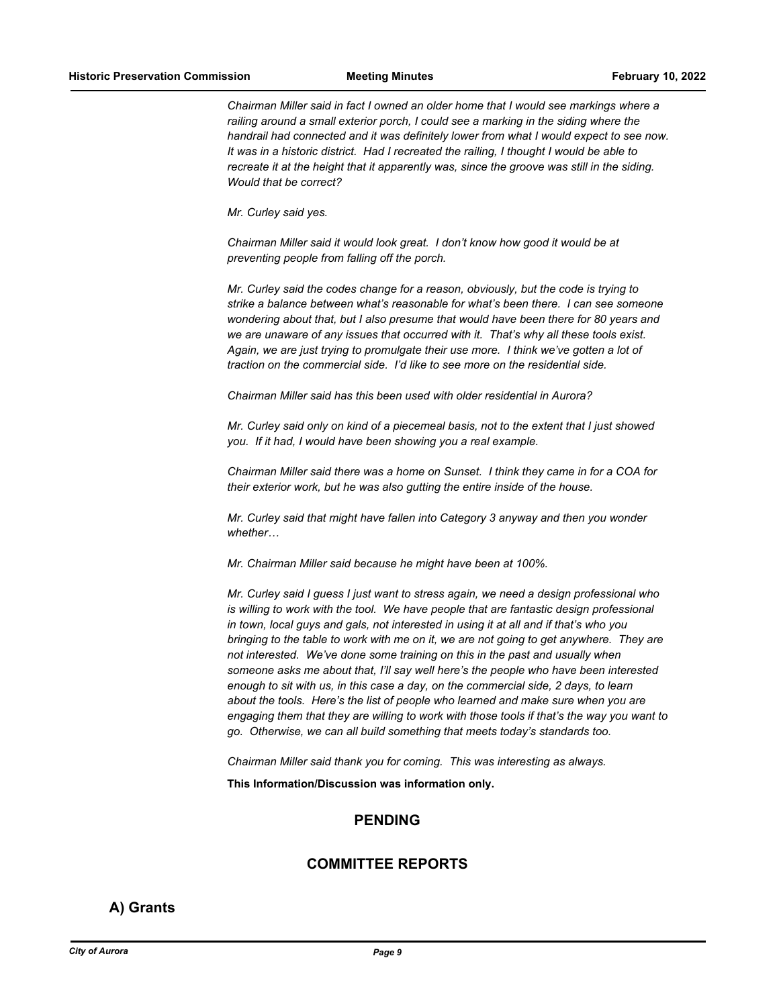*Chairman Miller said in fact I owned an older home that I would see markings where a railing around a small exterior porch, I could see a marking in the siding where the handrail had connected and it was definitely lower from what I would expect to see now. It was in a historic district. Had I recreated the railing, I thought I would be able to recreate it at the height that it apparently was, since the groove was still in the siding. Would that be correct?*

*Mr. Curley said yes.*

*Chairman Miller said it would look great. I don't know how good it would be at preventing people from falling off the porch.*

*Mr. Curley said the codes change for a reason, obviously, but the code is trying to strike a balance between what's reasonable for what's been there. I can see someone wondering about that, but I also presume that would have been there for 80 years and we are unaware of any issues that occurred with it. That's why all these tools exist. Again, we are just trying to promulgate their use more. I think we've gotten a lot of traction on the commercial side. I'd like to see more on the residential side.*

*Chairman Miller said has this been used with older residential in Aurora?*

*Mr. Curley said only on kind of a piecemeal basis, not to the extent that I just showed you. If it had, I would have been showing you a real example.*

*Chairman Miller said there was a home on Sunset. I think they came in for a COA for their exterior work, but he was also gutting the entire inside of the house.*

*Mr. Curley said that might have fallen into Category 3 anyway and then you wonder whether…*

*Mr. Chairman Miller said because he might have been at 100%.*

*Mr. Curley said I guess I just want to stress again, we need a design professional who is willing to work with the tool. We have people that are fantastic design professional in town, local guys and gals, not interested in using it at all and if that's who you bringing to the table to work with me on it, we are not going to get anywhere. They are not interested. We've done some training on this in the past and usually when someone asks me about that, I'll say well here's the people who have been interested enough to sit with us, in this case a day, on the commercial side, 2 days, to learn about the tools. Here's the list of people who learned and make sure when you are engaging them that they are willing to work with those tools if that's the way you want to go. Otherwise, we can all build something that meets today's standards too.*

*Chairman Miller said thank you for coming. This was interesting as always.*

**This Information/Discussion was information only.**

#### **PENDING**

#### **COMMITTEE REPORTS**

#### **A) Grants**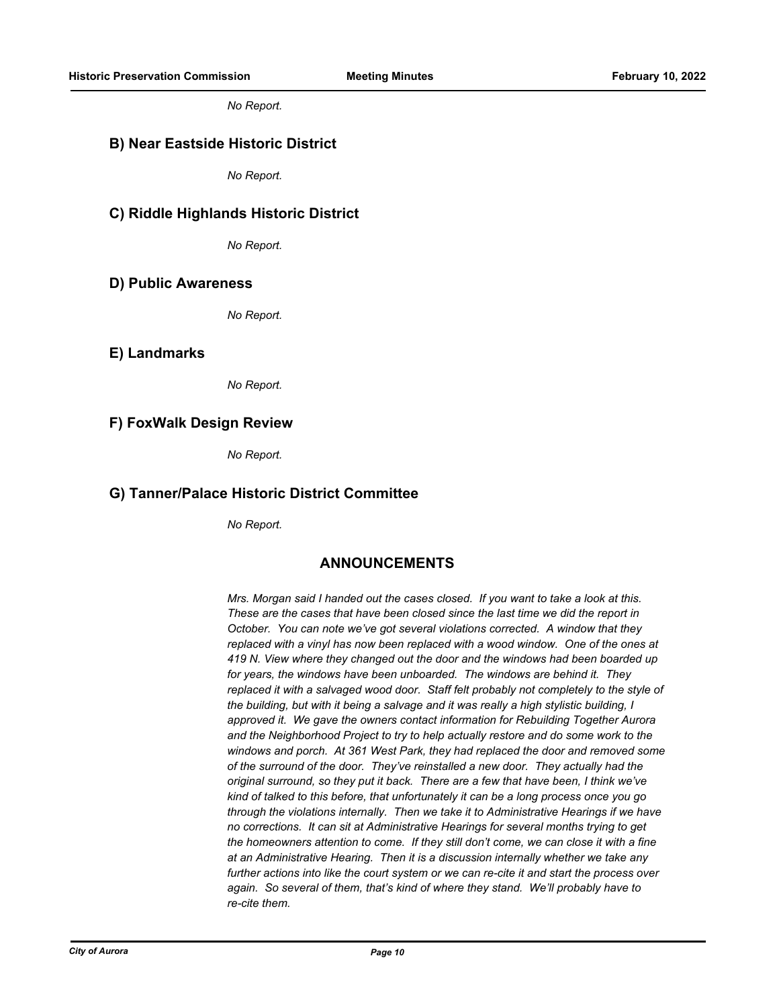*No Report.*

#### **B) Near Eastside Historic District**

*No Report.*

#### **C) Riddle Highlands Historic District**

*No Report.*

#### **D) Public Awareness**

*No Report.*

#### **E) Landmarks**

*No Report.*

#### **F) FoxWalk Design Review**

*No Report.*

#### **G) Tanner/Palace Historic District Committee**

*No Report.*

#### **ANNOUNCEMENTS**

*Mrs. Morgan said I handed out the cases closed. If you want to take a look at this. These are the cases that have been closed since the last time we did the report in October. You can note we've got several violations corrected. A window that they replaced with a vinyl has now been replaced with a wood window. One of the ones at 419 N. View where they changed out the door and the windows had been boarded up for years, the windows have been unboarded. The windows are behind it. They replaced it with a salvaged wood door. Staff felt probably not completely to the style of the building, but with it being a salvage and it was really a high stylistic building, I approved it. We gave the owners contact information for Rebuilding Together Aurora and the Neighborhood Project to try to help actually restore and do some work to the windows and porch. At 361 West Park, they had replaced the door and removed some of the surround of the door. They've reinstalled a new door. They actually had the original surround, so they put it back. There are a few that have been, I think we've kind of talked to this before, that unfortunately it can be a long process once you go through the violations internally. Then we take it to Administrative Hearings if we have no corrections. It can sit at Administrative Hearings for several months trying to get the homeowners attention to come. If they still don't come, we can close it with a fine at an Administrative Hearing. Then it is a discussion internally whether we take any further actions into like the court system or we can re-cite it and start the process over again. So several of them, that's kind of where they stand. We'll probably have to re-cite them.*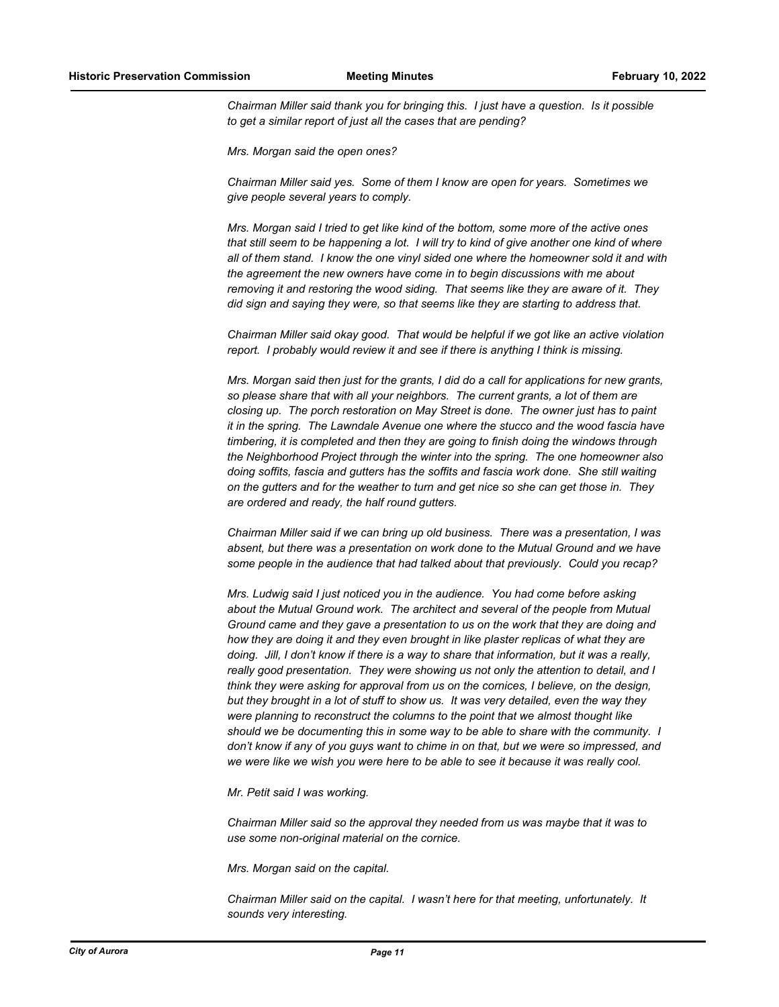*Chairman Miller said thank you for bringing this. I just have a question. Is it possible to get a similar report of just all the cases that are pending?*

*Mrs. Morgan said the open ones?*

*Chairman Miller said yes. Some of them I know are open for years. Sometimes we give people several years to comply.*

*Mrs. Morgan said I tried to get like kind of the bottom, some more of the active ones that still seem to be happening a lot. I will try to kind of give another one kind of where all of them stand. I know the one vinyl sided one where the homeowner sold it and with the agreement the new owners have come in to begin discussions with me about removing it and restoring the wood siding. That seems like they are aware of it. They did sign and saying they were, so that seems like they are starting to address that.*

*Chairman Miller said okay good. That would be helpful if we got like an active violation report. I probably would review it and see if there is anything I think is missing.*

*Mrs. Morgan said then just for the grants, I did do a call for applications for new grants, so please share that with all your neighbors. The current grants, a lot of them are closing up. The porch restoration on May Street is done. The owner just has to paint it in the spring. The Lawndale Avenue one where the stucco and the wood fascia have timbering, it is completed and then they are going to finish doing the windows through the Neighborhood Project through the winter into the spring. The one homeowner also doing soffits, fascia and gutters has the soffits and fascia work done. She still waiting on the gutters and for the weather to turn and get nice so she can get those in. They are ordered and ready, the half round gutters.*

*Chairman Miller said if we can bring up old business. There was a presentation, I was absent, but there was a presentation on work done to the Mutual Ground and we have some people in the audience that had talked about that previously. Could you recap?*

*Mrs. Ludwig said I just noticed you in the audience. You had come before asking about the Mutual Ground work. The architect and several of the people from Mutual Ground came and they gave a presentation to us on the work that they are doing and how they are doing it and they even brought in like plaster replicas of what they are doing. Jill, I don't know if there is a way to share that information, but it was a really, really good presentation. They were showing us not only the attention to detail, and I think they were asking for approval from us on the cornices, I believe, on the design, but they brought in a lot of stuff to show us. It was very detailed, even the way they were planning to reconstruct the columns to the point that we almost thought like should we be documenting this in some way to be able to share with the community. I don't know if any of you guys want to chime in on that, but we were so impressed, and we were like we wish you were here to be able to see it because it was really cool.*

*Mr. Petit said I was working.*

*Chairman Miller said so the approval they needed from us was maybe that it was to use some non-original material on the cornice.*

*Mrs. Morgan said on the capital.*

*Chairman Miller said on the capital. I wasn't here for that meeting, unfortunately. It sounds very interesting.*